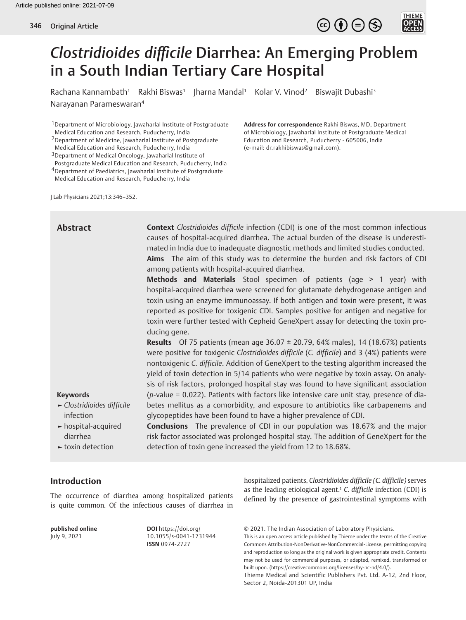

Rachana Kannambath<sup>1</sup> Rakhi Biswas<sup>1</sup> Jharna Mandal<sup>1</sup> Kolar V. Vinod<sup>2</sup> Biswajit Dubashi<sup>3</sup> Narayanan Parameswaran4

1Department of Microbiology, Jawaharlal Institute of Postgraduate Medical Education and Research, Puducherry, India

2Department of Medicine, Jawaharlal Institute of Postgraduate Medical Education and Research, Puducherry, India

3Department of Medical Oncology, Jawaharlal Institute of Postgraduate Medical Education and Research, Puducherry, India

4Department of Paediatrics, Jawaharlal Institute of Postgraduate Medical Education and Research, Puducherry, India

**Address for correspondence** Rakhi Biswas, MD, Department of Microbiology, Jawaharlal Institute of Postgraduate Medical Education and Research, Puducherry - 605006, India (e-mail: dr.rakhibiswas@gmail.com).

 $\circledcirc \oplus \circledcirc$ 

THIEME<br>**OPEN**<br>ACCESS

J Lab Physicians 2021;13:346–352.

| <b>Abstract</b>                                             | <b>Context</b> Clostridioides difficile infection (CDI) is one of the most common infectious<br>causes of hospital-acquired diarrhea. The actual burden of the disease is underesti-<br>mated in India due to inadequate diagnostic methods and limited studies conducted.<br>Aims The aim of this study was to determine the burden and risk factors of CDI<br>among patients with hospital-acquired diarrhea.                                                           |
|-------------------------------------------------------------|---------------------------------------------------------------------------------------------------------------------------------------------------------------------------------------------------------------------------------------------------------------------------------------------------------------------------------------------------------------------------------------------------------------------------------------------------------------------------|
|                                                             | Methods and Materials Stool specimen of patients (age > 1 year) with<br>hospital-acquired diarrhea were screened for glutamate dehydrogenase antigen and<br>toxin using an enzyme immunoassay. If both antigen and toxin were present, it was<br>reported as positive for toxigenic CDI. Samples positive for antigen and negative for<br>toxin were further tested with Cepheid GeneXpert assay for detecting the toxin pro-<br>ducing gene.                             |
|                                                             | <b>Results</b> Of 75 patients (mean age 36.07 $\pm$ 20.79, 64% males), 14 (18.67%) patients<br>were positive for toxigenic Clostridioides difficile (C. difficile) and 3 (4%) patients were<br>nontoxigenic C. difficile. Addition of GeneXpert to the testing algorithm increased the<br>yield of toxin detection in 5/14 patients who were negative by toxin assay. On analy-<br>sis of risk factors, prolonged hospital stay was found to have significant association |
| <b>Keywords</b>                                             | $(p$ -value = 0.022). Patients with factors like intensive care unit stay, presence of dia-                                                                                                                                                                                                                                                                                                                                                                               |
| $\blacktriangleright$ Clostridioides difficile<br>infection | betes mellitus as a comorbidity, and exposure to antibiotics like carbapenems and<br>glycopeptides have been found to have a higher prevalence of CDI.                                                                                                                                                                                                                                                                                                                    |
| $\blacktriangleright$ hospital-acquired<br>diarrhea         | <b>Conclusions</b> The prevalence of CDI in our population was 18.67% and the major<br>risk factor associated was prolonged hospital stay. The addition of GeneXpert for the                                                                                                                                                                                                                                                                                              |
| $\blacktriangleright$ toxin detection                       | detection of toxin gene increased the yield from 12 to 18.68%.                                                                                                                                                                                                                                                                                                                                                                                                            |

# **Introduction**

The occurrence of diarrhea among hospitalized patients is quite common. Of the infectious causes of diarrhea in

**published online** July 9, 2021

**DOI** https://doi.org/ 10.1055/s-0041-1731944 **ISSN** 0974-2727

hospitalized patients, *Clostridioides difficile (C. difficile)* serves as the leading etiological agent.1 *C. difficile* infection (CDI) is defined by the presence of gastrointestinal symptoms with

© 2021. The Indian Association of Laboratory Physicians. This is an open access article published by Thieme under the terms of the Creative Commons Attribution-NonDerivative-NonCommercial-License, permitting copying and reproduction so long as the original work is given appropriate credit. Contents may not be used for commercial purposes, or adapted, remixed, transformed or built upon. (https://creativecommons.org/licenses/by-nc-nd/4.0/). Thieme Medical and Scientific Publishers Pvt. Ltd. A-12, 2nd Floor, Sector 2, Noida-201301 UP, India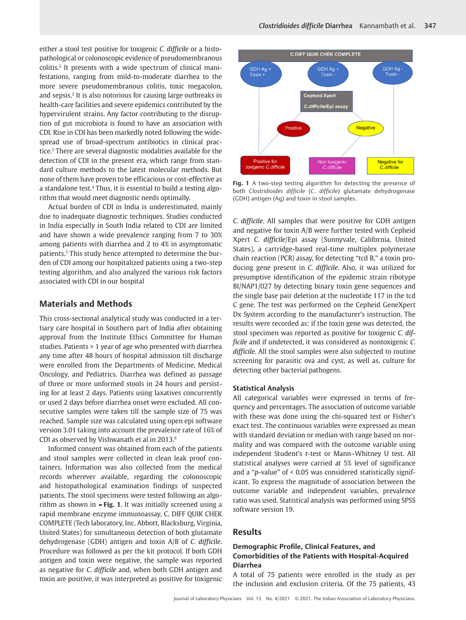either a stool test positive for toxigenic *C. difficile* or a histopathological or colonoscopic evidence of pseudomembranous colitis.2 It presents with a wide spectrum of clinical manifestations, ranging from mild-to-moderate diarrhea to the more severe pseudomembranous colitis, toxic megacolon, and sepsis.2 It is also notorious for causing large outbreaks in health-care facilities and severe epidemics contributed by the hypervirulent strains. Any factor contributing to the disruption of gut microbiota is found to have an association with CDI. Rise in CDI has been markedly noted following the widespread use of broad-spectrum antibiotics in clinical practice.<sup>3</sup> There are several diagnostic modalities available for the detection of CDI in the present era, which range from standard culture methods to the latest molecular methods. But none of them have proven to be efficacious or cost-effective as a standalone test.<sup>4</sup> Thus, it is essential to build a testing algorithm that would meet diagnostic needs optimally.

Actual burden of CDI in India is underestimated, mainly due to inadequate diagnostic techniques. Studies conducted in India especially in South India related to CDI are limited and have shown a wide prevalence ranging from 7 to 30% among patients with diarrhea and 2 to 4% in asymptomatic patients.5 This study hence attempted to determine the burden of CDI among our hospitalized patients using a two-step testing algorithm, and also analyzed the various risk factors associated with CDI in our hospital

# **Materials and Methods**

This cross-sectional analytical study was conducted in a tertiary care hospital in Southern part of India after obtaining approval from the Institute Ethics Committee for Human studies. Patients > 1 year of age who presented with diarrhea any time after 48 hours of hospital admission till discharge were enrolled from the Departments of Medicine, Medical Oncology, and Pediatrics. Diarrhea was defined as passage of three or more unformed stools in 24 hours and persisting for at least 2 days. Patients using laxatives concurrently or used 2 days before diarrhea onset were excluded. All consecutive samples were taken till the sample size of 75 was reached. Sample size was calculated using open epi software version 3.01 taking into account the prevalence rate of 16% of CDI as observed by Vishwanath et al in 2013.6

Informed consent was obtained from each of the patients and stool samples were collected in clean leak proof containers. Information was also collected from the medical records wherever available, regarding the colonoscopic and histopathological examination findings of suspected patients. The stool specimens were tested following an algorithm as shown in **►Fig. 1**. It was initially screened using a rapid membrane enzyme immunoassay, C. DIFF QUIK CHEK COMPLETE (Tech laboratory, Inc. Abbott, Blacksburg, Virginia, United States) for simultaneous detection of both glutamate dehydrogenase (GDH) antigen and toxin A/B of *C. difficile*. Procedure was followed as per the kit protocol. If both GDH antigen and toxin were negative, the sample was reported as negative for *C. difficile* and, when both GDH antigen and toxin are positive, it was interpreted as positive for toxigenic



**Fig. 1** A two-step testing algorithm for detecting the presence of both *Clostridioides difficile* (*C*. *difficile*) glutamate dehydrogenase (GDH) antigen (Ag) and toxin in stool samples.

*C. difficile*. All samples that were positive for GDH antigen and negative for toxin A/B were further tested with Cepheid Xpert *C. difficile*/Epi assay (Sunnyvale, California, United States), a cartridge-based real-time multiplex polymerase chain reaction (PCR) assay, for detecting "tcd B," a toxin producing gene present in *C. difficile*. Also, it was utilized for presumptive identification of the epidemic strain ribotype BI/NAP1/027 by detecting binary toxin gene sequences and the single base pair deletion at the nucleotide 117 in the tcd C gene. The test was performed on the Cepheid GeneXpert Dx System according to the manufacturer's instruction. The results were recorded as: if the toxin gene was detected, the stool specimen was reported as positive for toxigenic *C. difficile* and if undetected, it was considered as nontoxigenic *C. difficile*. All the stool samples were also subjected to routine screening for parasitic ova and cyst, as well as, culture for detecting other bacterial pathogens.

#### **Statistical Analysis**

All categorical variables were expressed in terms of frequency and percentages. The association of outcome variable with these was done using the chi-squared test or Fisher's exact test. The continuous variables were expressed as mean with standard deviation or median with range based on normality and was compared with the outcome variable using independent Student's *t*-test or Mann–Whitney U test. All statistical analyses were carried at 5% level of significance and a "*p*-value" of < 0.05 was considered statistically significant. To express the magnitude of association between the outcome variable and independent variables, prevalence ratio was used. Statistical analysis was performed using SPSS software version 19.

# **Results**

## **Demographic Profile, Clinical Features, and Comorbidities of the Patients with Hospital-Acquired Diarrhea**

A total of 75 patients were enrolled in the study as per the inclusion and exclusion criteria. Of the 75 patients, 43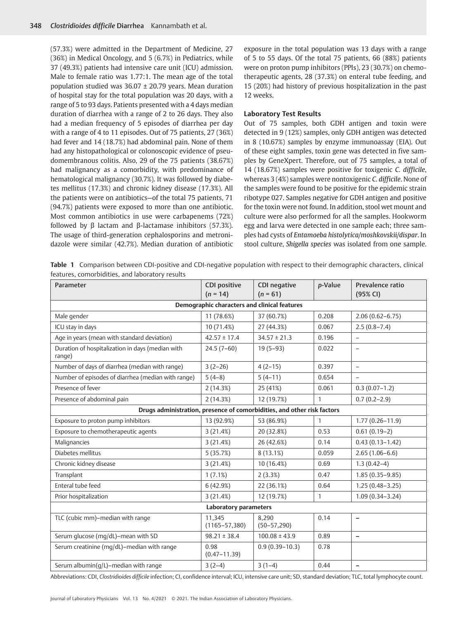(57.3%) were admitted in the Department of Medicine, 27 (36%) in Medical Oncology, and 5 (6.7%) in Pediatrics, while 37 (49.3%) patients had intensive care unit (ICU) admission. Male to female ratio was 1.77:1. The mean age of the total population studied was 36.07 ± 20.79 years. Mean duration of hospital stay for the total population was 20 days, with a range of 5 to 93 days. Patients presented with a 4 days median duration of diarrhea with a range of 2 to 26 days. They also had a median frequency of 5 episodes of diarrhea per day with a range of 4 to 11 episodes. Out of 75 patients, 27 (36%) had fever and 14 (18.7%) had abdominal pain. None of them had any histopathological or colonoscopic evidence of pseudomembranous colitis. Also, 29 of the 75 patients (38.67%) had malignancy as a comorbidity, with predominance of hematological malignancy (30.7%). It was followed by diabetes mellitus (17.3%) and chronic kidney disease (17.3%). All the patients were on antibiotics—of the total 75 patients, 71 (94.7%) patients were exposed to more than one antibiotic. Most common antibiotics in use were carbapenems (72%) followed by β lactam and β-lactamase inhibitors (57.3%). The usage of third-generation cephalosporins and metronidazole were similar (42.7%). Median duration of antibiotic

exposure in the total population was 13 days with a range of 5 to 55 days. Of the total 75 patients, 66 (88%) patients were on proton pump inhibitors (PPIs), 23 (30.7%) on chemotherapeutic agents, 28 (37.3%) on enteral tube feeding, and 15 (20%) had history of previous hospitalization in the past 12 weeks.

#### **Laboratory Test Results**

Out of 75 samples, both GDH antigen and toxin were detected in 9 (12%) samples, only GDH antigen was detected in 8 (10.67%) samples by enzyme immunoassay (EIA). Out of these eight samples, toxin gene was detected in five samples by GeneXpert. Therefore, out of 75 samples, a total of 14 (18.67%) samples were positive for toxigenic *C. difficile*, whereas 3 (4%) samples were nontoxigenic *C. difficile*. None of the samples were found to be positive for the epidemic strain ribotype 027. Samples negative for GDH antigen and positive for the toxin were not found. In addition, stool wet mount and culture were also performed for all the samples. Hookworm egg and larva were detected in one sample each; three samples had cysts of *Entamoeba histolytica/moshkovskii/dispar*. In stool culture, *Shigella species* was isolated from one sample.

**Table 1** Comparison between CDI-positive and CDI-negative population with respect to their demographic characters, clinical features, comorbidities, and laboratory results

| Parameter                                                               | <b>CDI positive</b><br>$(n = 14)$ | <b>CDI</b> negative<br>$(n = 61)$ | p-Value      | Prevalence ratio<br>(95% CI) |  |  |  |  |
|-------------------------------------------------------------------------|-----------------------------------|-----------------------------------|--------------|------------------------------|--|--|--|--|
| Demographic characters and clinical features                            |                                   |                                   |              |                              |  |  |  |  |
| Male gender                                                             | 11 (78.6%)                        | 37 (60.7%)                        | 0.208        | $2.06(0.62 - 6.75)$          |  |  |  |  |
| ICU stay in days                                                        | 10(71.4%)                         | 27 (44.3%)                        | 0.067        | $2.5(0.8 - 7.4)$             |  |  |  |  |
| Age in years (mean with standard deviation)                             | $42.57 \pm 17.4$                  | $34.57 \pm 21.3$                  | 0.196        | $\qquad \qquad -$            |  |  |  |  |
| Duration of hospitalization in days (median with<br>range)              | $24.5(7-60)$                      | $19(5-93)$                        | 0.022        | $\overline{\phantom{0}}$     |  |  |  |  |
| Number of days of diarrhea (median with range)                          | $3(2-26)$                         | $4(2-15)$                         | 0.397        | $\overline{\phantom{a}}$     |  |  |  |  |
| Number of episodes of diarrhea (median with range)                      | $5(4-8)$                          | $5(4-11)$                         | 0.654        | $\overline{\phantom{0}}$     |  |  |  |  |
| Presence of fever                                                       | 2(14.3%)                          | 25 (41%)                          | 0.061        | $0.3(0.07-1.2)$              |  |  |  |  |
| Presence of abdominal pain                                              | 2(14.3%)                          | 12 (19.7%)                        | $\mathbf{1}$ | $0.7(0.2 - 2.9)$             |  |  |  |  |
| Drugs administration, presence of comorbidities, and other risk factors |                                   |                                   |              |                              |  |  |  |  |
| Exposure to proton pump inhibitors                                      | 13 (92.9%)                        | 53 (86.9%)                        | 1            | $1.77(0.26 - 11.9)$          |  |  |  |  |
| Exposure to chemotherapeutic agents                                     | 3(21.4%)                          | 20 (32.8%)                        | 0.53         | $0.61(0.19-2)$               |  |  |  |  |
| Malignancies                                                            | 3(21.4%)                          | 26 (42.6%)                        | 0.14         | $0.43(0.13 - 1.42)$          |  |  |  |  |
| Diabetes mellitus                                                       | 5(35.7%)                          | 8(13.1%)                          | 0.059        | $2.65(1.06-6.6)$             |  |  |  |  |
| Chronic kidney disease                                                  | 3(21.4%)                          | 10 (16.4%)                        | 0.69         | $1.3(0.42-4)$                |  |  |  |  |
| Transplant                                                              | 1(7.1%)                           | 2(3.3%)                           | 0.47         | $1.85(0.35 - 9.85)$          |  |  |  |  |
| Enteral tube feed                                                       | 6 (42.9%)                         | 22 (36.1%)                        | 0.64         | $1.25(0.48 - 3.25)$          |  |  |  |  |
| Prior hospitalization                                                   | 3(21.4%)                          | 12 (19.7%)                        | $\mathbf{1}$ | $1.09(0.34 - 3.24)$          |  |  |  |  |
| <b>Laboratory parameters</b>                                            |                                   |                                   |              |                              |  |  |  |  |
| TLC (cubic mm)-median with range                                        | 11,345<br>$(1165 - 57, 380)$      | 8,290<br>$(50 - 57, 290)$         | 0.14         | $\qquad \qquad -$            |  |  |  |  |
| Serum glucose (mg/dL)-mean with SD                                      | $98.21 \pm 38.4$                  | $100.08 \pm 43.9$                 | 0.89         | $\equiv$                     |  |  |  |  |
| Serum creatinine (mg/dL)-median with range                              | 0.98<br>$(0.47 - 11.39)$          | $0.9(0.39 - 10.3)$                | 0.78         |                              |  |  |  |  |
| Serum albumin(g/L)-median with range                                    | $3(2-4)$                          | $3(1-4)$                          | 0.44         | $\qquad \qquad -$            |  |  |  |  |

Abbreviations: CDI, *Clostridioides difficile* infection; CI, confidence interval; ICU, intensive care unit; SD, standard deviation; TLC, total lymphocyte count.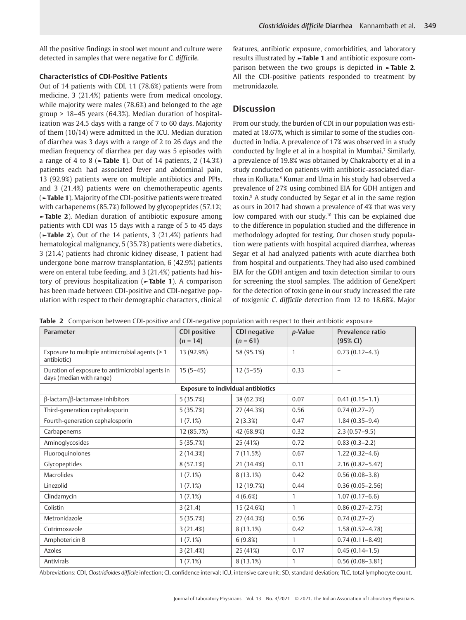All the positive findings in stool wet mount and culture were detected in samples that were negative for *C. difficile.*

### **Characteristics of CDI-Positive Patients**

Out of 14 patients with CDI, 11 (78.6%) patients were from medicine, 3 (21.4%) patients were from medical oncology, while majority were males (78.6%) and belonged to the age group > 18–45 years (64.3%). Median duration of hospitalization was 24.5 days with a range of 7 to 60 days. Majority of them (10/14) were admitted in the ICU. Median duration of diarrhea was 3 days with a range of 2 to 26 days and the median frequency of diarrhea per day was 5 episodes with a range of 4 to 8 (**►Table 1**). Out of 14 patients, 2 (14.3%) patients each had associated fever and abdominal pain, 13 (92.9%) patients were on multiple antibiotics and PPIs, and 3 (21.4%) patients were on chemotherapeutic agents (**►Table 1**). Majority of the CDI-positive patients were treated with carbapenems (85.7%) followed by glycopeptides (57.1%; **►Table 2**). Median duration of antibiotic exposure among patients with CDI was 15 days with a range of 5 to 45 days (**►Table 2**). Out of the 14 patients, 3 (21.4%) patients had hematological malignancy, 5 (35.7%) patients were diabetics, 3 (21.4) patients had chronic kidney disease, 1 patient had undergone bone marrow transplantation, 6 (42.9%) patients were on enteral tube feeding, and 3 (21.4%) patients had history of previous hospitalization (**►Table 1**). A comparison has been made between CDI-positive and CDI-negative population with respect to their demographic characters, clinical features, antibiotic exposure, comorbidities, and laboratory results illustrated by **►Table 1** and antibiotic exposure comparison between the two groups is depicted in **►Table 2**. All the CDI-positive patients responded to treatment by metronidazole.

# **Discussion**

From our study, the burden of CDI in our population was estimated at 18.67%, which is similar to some of the studies conducted in India. A prevalence of 17% was observed in a study conducted by Ingle et al in a hospital in Mumbai.<sup>7</sup> Similarly, a prevalence of 19.8% was obtained by Chakraborty et al in a study conducted on patients with antibiotic-associated diarrhea in Kolkata.<sup>8</sup> Kumar and Uma in his study had observed a prevalence of 27% using combined EIA for GDH antigen and toxin.9 A study conducted by Segar et al in the same region as ours in 2017 had shown a prevalence of 4% that was very low compared with our study.<sup>10</sup> This can be explained due to the difference in population studied and the difference in methodology adopted for testing. Our chosen study population were patients with hospital acquired diarrhea, whereas Segar et al had analyzed patients with acute diarrhea both from hospital and outpatients. They had also used combined EIA for the GDH antigen and toxin detection similar to ours for screening the stool samples. The addition of GeneXpert for the detection of toxin gene in our study increased the rate of toxigenic *C. difficile* detection from 12 to 18.68%. Major

|  |  |  |  | Table 2 Comparison between CDI-positive and CDI-negative population with respect to their antibiotic exposure |
|--|--|--|--|---------------------------------------------------------------------------------------------------------------|
|--|--|--|--|---------------------------------------------------------------------------------------------------------------|

| Parameter                                                                   | <b>CDI positive</b> | CDI negative | p-Value        | Prevalence ratio    |  |  |  |  |
|-----------------------------------------------------------------------------|---------------------|--------------|----------------|---------------------|--|--|--|--|
|                                                                             | $(n = 14)$          | $(n = 61)$   |                | (95% CI)            |  |  |  |  |
| Exposure to multiple antimicrobial agents (> 1<br>antibiotic)               | 13 (92.9%)          | 58 (95.1%)   | $\mathbf{1}$   | $0.73(0.12-4.3)$    |  |  |  |  |
| Duration of exposure to antimicrobial agents in<br>days (median with range) | $15(5-45)$          | $12(5-55)$   | 0.33           | $\qquad \qquad -$   |  |  |  |  |
| <b>Exposure to individual antibiotics</b>                                   |                     |              |                |                     |  |  |  |  |
| $\beta$ -lactam/ $\beta$ -lactamase inhibitors                              | 5 (35.7%)           | 38 (62.3%)   | 0.07           | $0.41(0.15-1.1)$    |  |  |  |  |
| Third-generation cephalosporin                                              | 5(35.7%)            | 27 (44.3%)   | 0.56           | $0.74(0.27-2)$      |  |  |  |  |
| Fourth-generation cephalosporin                                             | 1(7.1%)             | 2(3.3%)      | 0.47           | $1.84(0.35 - 9.4)$  |  |  |  |  |
| Carbapenems                                                                 | 12 (85.7%)          | 42 (68.9%)   | 0.32           | $2.3(0.57-9.5)$     |  |  |  |  |
| Aminoglycosides                                                             | 5(35.7%)            | 25 (41%)     | 0.72           | $0.83(0.3-2.2)$     |  |  |  |  |
| Fluoroquinolones                                                            | 2(14.3%)            | 7(11.5%)     | 0.67           | $1.22(0.32 - 4.6)$  |  |  |  |  |
| Glycopeptides                                                               | 8(57.1%)            | 21 (34.4%)   | 0.11           | $2.16(0.82 - 5.47)$ |  |  |  |  |
| <b>Macrolides</b>                                                           | 1(7.1%)             | $8(13.1\%)$  | 0.42           | $0.56(0.08 - 3.8)$  |  |  |  |  |
| Linezolid                                                                   | 1(7.1%)             | 12 (19.7%)   | 0.44           | $0.36(0.05 - 2.56)$ |  |  |  |  |
| Clindamycin                                                                 | 1(7.1%)             | 4(6.6%)      | $\mathbf{1}$   | $1.07(0.17-6.6)$    |  |  |  |  |
| Colistin                                                                    | 3(21.4)             | 15 (24.6%)   | $\overline{1}$ | $0.86(0.27 - 2.75)$ |  |  |  |  |
| Metronidazole                                                               | 5(35.7%)            | 27 (44.3%)   | 0.56           | $0.74(0.27-2)$      |  |  |  |  |
| Cotrimoxazole                                                               | 3(21.4%)            | 8(13.1%)     | 0.42           | $1.58(0.52 - 4.78)$ |  |  |  |  |
| Amphotericin B                                                              | 1(7.1%)             | 6(9.8%)      | 1              | $0.74(0.11 - 8.49)$ |  |  |  |  |
| Azoles                                                                      | 3(21.4%)            | 25 (41%)     | 0.17           | $0.45(0.14-1.5)$    |  |  |  |  |
| Antivirals                                                                  | 1(7.1%)             | 8(13.1%)     | $\mathbf{1}$   | $0.56(0.08 - 3.81)$ |  |  |  |  |

Abbreviations: CDI, *Clostridioides difficile* infection; CI, confidence interval; ICU, intensive care unit; SD, standard deviation; TLC, total lymphocyte count.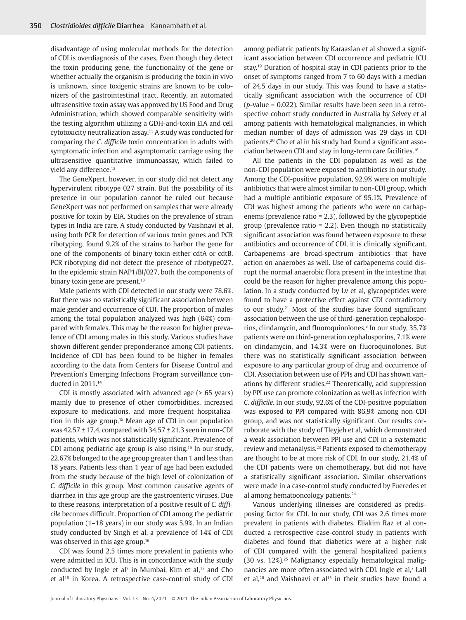disadvantage of using molecular methods for the detection of CDI is overdiagnosis of the cases. Even though they detect the toxin producing gene, the functionality of the gene or whether actually the organism is producing the toxin in vivo is unknown, since toxigenic strains are known to be colonizers of the gastrointestinal tract. Recently, an automated ultrasensitive toxin assay was approved by US Food and Drug Administration, which showed comparable sensitivity with the testing algorithm utilizing a GDH-and-toxin EIA and cell cytotoxicity neutralization assay.11 A study was conducted for comparing the *C. difficile* toxin concentration in adults with symptomatic infection and asymptomatic carriage using the ultrasensitive quantitative immunoassay, which failed to yield any difference.12

The GeneXpert, however, in our study did not detect any hypervirulent ribotype 027 strain. But the possibility of its presence in our population cannot be ruled out because GeneXpert was not performed on samples that were already positive for toxin by EIA. Studies on the prevalence of strain types in India are rare. A study conducted by Vaishnavi et al, using both PCR for detection of various toxin genes and PCR ribotyping, found 9.2% of the strains to harbor the gene for one of the components of binary toxin either cdtA or cdtB. PCR ribotyping did not detect the presence of ribotype027. In the epidemic strain NAP1/BI/027, both the components of binary toxin gene are present.<sup>13</sup>

Male patients with CDI detected in our study were 78.6%. But there was no statistically significant association between male gender and occurrence of CDI. The proportion of males among the total population analyzed was high (64%) compared with females. This may be the reason for higher prevalence of CDI among males in this study. Various studies have shown different gender preponderance among CDI patients. Incidence of CDI has been found to be higher in females according to the data from Centers for Disease Control and Prevention's Emerging Infections Program surveillance conducted in 2011.14

CDI is mostly associated with advanced age (> 65 years) mainly due to presence of other comorbidities, increased exposure to medications, and more frequent hospitalization in this age group.15 Mean age of CDI in our population was 42.57 ± 17.4, compared with 34.57 ± 21.3 seen in non-CDI patients, which was not statistically significant. Prevalence of CDI among pediatric age group is also rising.15 In our study, 22.67% belonged to the age group greater than 1 and less than 18 years. Patients less than 1 year of age had been excluded from the study because of the high level of colonization of *C. difficile* in this group. Most common causative agents of diarrhea in this age group are the gastroenteric viruses. Due to these reasons, interpretation of a positive result of *C. difficile* becomes difficult. Proportion of CDI among the pediatric population (1–18 years) in our study was 5.9%. In an Indian study conducted by Singh et al, a prevalence of 14% of CDI was observed in this age group.16

CDI was found 2.5 times more prevalent in patients who were admitted in ICU. This is in concordance with the study conducted by Ingle et al<sup>7</sup> in Mumbai, Kim et al, $17$  and Cho et al<sup>18</sup> in Korea. A retrospective case-control study of CDI

among pediatric patients by Karaaslan et al showed a significant association between CDI occurrence and pediatric ICU stay.19 Duration of hospital stay in CDI patients prior to the onset of symptoms ranged from 7 to 60 days with a median of 24.5 days in our study. This was found to have a statistically significant association with the occurrence of CDI (*p*-value = 0.022). Similar results have been seen in a retrospective cohort study conducted in Australia by Selvey et al among patients with hematological malignancies, in which median number of days of admission was 29 days in CDI patients.20 Cho et al in his study had found a significant association between CDI and stay in long-term care facilities.18

All the patients in the CDI population as well as the non-CDI population were exposed to antibiotics in our study. Among the CDI-positive population, 92.9% were on multiple antibiotics that were almost similar to non-CDI group, which had a multiple antibiotic exposure of 95.1%. Prevalence of CDI was highest among the patients who were on carbapenems (prevalence ratio = 2.3), followed by the glycopeptide group (prevalence ratio = 2.2). Even though no statistically significant association was found between exposure to these antibiotics and occurrence of CDI, it is clinically significant. Carbapenems are broad-spectrum antibiotics that have action on anaerobes as well. Use of carbapenems could disrupt the normal anaerobic flora present in the intestine that could be the reason for higher prevalence among this population. In a study conducted by Lv et al, glycopeptides were found to have a protective effect against CDI contradictory to our study.21 Most of the studies have found significant association between the use of third-generation cephalosporins, clindamycin, and fluoroquinolones.<sup>3</sup> In our study, 35.7% patients were on third-generation cephalosporins, 7.1% were on clindamycin, and 14.3% were on fluoroquinolones. But there was no statistically significant association between exposure to any particular group of drug and occurrence of CDI. Association between use of PPIs and CDI has shown variations by different studies.22 Theoretically, acid suppression by PPI use can promote colonization as well as infection with *C. difficile.* In our study, 92.6% of the CDI-positive population was exposed to PPI compared with 86.9% among non-CDI group, and was not statistically significant. Our results corroborate with the study of Tleyjeh et al, which demonstrated a weak association between PPI use and CDI in a systematic review and metanalysis.<sup>23</sup> Patients exposed to chemotherapy are thought to be at more risk of CDI. In our study, 21.4% of the CDI patients were on chemotherapy, but did not have a statistically significant association. Similar observations were made in a case-control study conducted by Fueredes et al among hematooncology patients.24

Various underlying illnesses are considered as predisposing factor for CDI. In our study, CDI was 2.6 times more prevalent in patients with diabetes. Eliakim Raz et al conducted a retrospective case-control study in patients with diabetes and found that diabetics were at a higher risk of CDI compared with the general hospitalized patients (30 vs. 12%).25 Malignancy especially hematological malignancies are more often associated with CDI. Ingle et al, $<sup>7</sup>$  Lall</sup> et al,<sup>26</sup> and Vaishnavi et al<sup>13</sup> in their studies have found a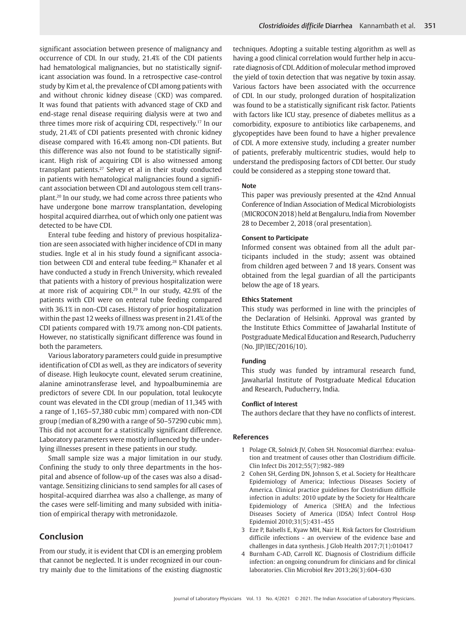significant association between presence of malignancy and occurrence of CDI. In our study, 21.4% of the CDI patients had hematological malignancies, but no statistically significant association was found. In a retrospective case-control study by Kim et al, the prevalence of CDI among patients with and without chronic kidney disease (CKD) was compared. It was found that patients with advanced stage of CKD and end-stage renal disease requiring dialysis were at two and three times more risk of acquiring CDI, respectively.17 In our study, 21.4% of CDI patients presented with chronic kidney disease compared with 16.4% among non-CDI patients. But this difference was also not found to be statistically significant. High risk of acquiring CDI is also witnessed among transplant patients.27 Selvey et al in their study conducted in patients with hematological malignancies found a significant association between CDI and autologous stem cell transplant.20 In our study, we had come across three patients who have undergone bone marrow transplantation, developing hospital acquired diarrhea, out of which only one patient was detected to be have CDI.

Enteral tube feeding and history of previous hospitalization are seen associated with higher incidence of CDI in many studies. Ingle et al in his study found a significant association between CDI and enteral tube feeding.<sup>28</sup> Khanafer et al have conducted a study in French University, which revealed that patients with a history of previous hospitalization were at more risk of acquiring CDI.29 In our study, 42.9% of the patients with CDI were on enteral tube feeding compared with 36.1% in non-CDI cases. History of prior hospitalization within the past 12 weeks of illness was present in 21.4% of the CDI patients compared with 19.7% among non-CDI patients. However, no statistically significant difference was found in both the parameters.

Various laboratory parameters could guide in presumptive identification of CDI as well, as they are indicators of severity of disease. High leukocyte count, elevated serum creatinine, alanine aminotransferase level, and hypoalbuminemia are predictors of severe CDI. In our population, total leukocyte count was elevated in the CDI group (median of 11,345 with a range of 1,165–57,380 cubic mm) compared with non-CDI group (median of 8,290 with a range of 50–57290 cubic mm). This did not account for a statistically significant difference. Laboratory parameters were mostly influenced by the underlying illnesses present in these patients in our study.

Small sample size was a major limitation in our study. Confining the study to only three departments in the hospital and absence of follow-up of the cases was also a disadvantage. Sensitizing clinicians to send samples for all cases of hospital-acquired diarrhea was also a challenge, as many of the cases were self-limiting and many subsided with initiation of empirical therapy with metronidazole.

# **Conclusion**

From our study, it is evident that CDI is an emerging problem that cannot be neglected. It is under recognized in our country mainly due to the limitations of the existing diagnostic techniques. Adopting a suitable testing algorithm as well as having a good clinical correlation would further help in accurate diagnosis of CDI. Addition of molecular method improved the yield of toxin detection that was negative by toxin assay. Various factors have been associated with the occurrence of CDI. In our study, prolonged duration of hospitalization was found to be a statistically significant risk factor. Patients with factors like ICU stay, presence of diabetes mellitus as a comorbidity, exposure to antibiotics like carbapenems, and glycopeptides have been found to have a higher prevalence of CDI. A more extensive study, including a greater number of patients, preferably multicentric studies, would help to understand the predisposing factors of CDI better. Our study could be considered as a stepping stone toward that.

#### **Note**

This paper was previously presented at the 42nd Annual Conference of Indian Association of Medical Microbiologists (MICROCON 2018) held at Bengaluru, India from November 28 to December 2, 2018 (oral presentation).

#### **Consent to Participate**

Informed consent was obtained from all the adult participants included in the study; assent was obtained from children aged between 7 and 18 years. Consent was obtained from the legal guardian of all the participants below the age of 18 years.

#### **Ethics Statement**

This study was performed in line with the principles of the Declaration of Helsinki. Approval was granted by the Institute Ethics Committee of Jawaharlal Institute of Postgraduate Medical Education and Research, Puducherry (No. JIP/IEC/2016/10).

### **Funding**

This study was funded by intramural research fund, Jawaharlal Institute of Postgraduate Medical Education and Research, Puducherry, India.

### **Conflict of Interest**

The authors declare that they have no conflicts of interest.

#### **References**

- 1 Polage CR, Solnick JV, Cohen SH. Nosocomial diarrhea: evaluation and treatment of causes other than Clostridium difficile. Clin Infect Dis 2012;55(7):982–989
- 2 Cohen SH, Gerding DN, Johnson S, et al. Society for Healthcare Epidemiology of America; Infectious Diseases Society of America. Clinical practice guidelines for Clostridium difficile infection in adults: 2010 update by the Society for Healthcare Epidemiology of America (SHEA) and the Infectious Diseases Society of America (IDSA) Infect Control Hosp Epidemiol 2010;31(5):431–455
- 3 Eze P, Balsells E, Kyaw MH, Nair H. Risk factors for Clostridium difficile infections - an overview of the evidence base and challenges in data synthesis. J Glob Health 2017;7(1):010417
- 4 Burnham C-AD, Carroll KC. Diagnosis of Clostridium difficile infection: an ongoing conundrum for clinicians and for clinical laboratories. Clin Microbiol Rev 2013;26(3):604–630